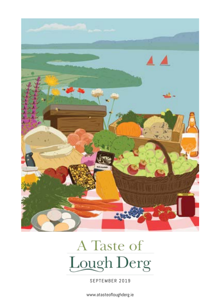

# A Taste of **Lough Derg**

SEPTEMBER 2019

www.atasteofloughderg.ie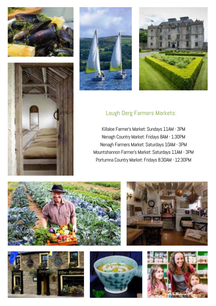







#### Lough Derg Farmers Markets:

Killaloe Farmer's Market: Sundays 11AM - 3PM Nenagh Country Market: Fridays 8AM - 1.30PM Nenagh Farmers Market: Saturdays 10AM - 3PM Mountshannon Farmer's Market: Saturdays 11AM - 3PM Portumna Country Market: Fridays 8.30AM - 12.30PM









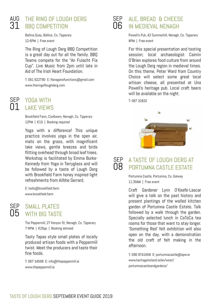## AUG THE RING OF LOUGH DERG  $31$  BBQ COMPETITION

Ballina Quay, Ballina. Co. Tipperary 12-6PM | Free event

The Ring of Lough Derg BBQ Competition is a great day out for all the family. BBQ Teams compete for the "An Fulacht Fia Cup". Live Music from 2pm until late in Aid of The Irish Heart Foundation.

T: 061 622790 E: flanagansfunctions@gmail.com www.theringofloughderg.com

#### SEP YOGA WITH 01 LAKE VIEWS

Brookfield Farm, Coolbawn, Nenagh, Co. Tipperary 12PM | €15 | Booking required

Yoga with a difference! This unique practice involves yoga in the open air, mats on the grass, with magnificent lake views, gentle breezes and birds flitting overhead through broad leaf trees. Workshop is facilitated by Emma Burke-Kennedy from Yoga in Terryglass and will be followed by a taste of Lough Derg with Brookfield Farm honey inspired light refreshments from Ailbhe Gerrard.

E: hello@brookfield.farm www.hrookfield.farm

#### SEP በ5

#### SMALL PLATES WITH BIG TASTE

The Peppermill, 27 Kenyon St, Nenagh, Co. Tipperary 7-8PM | €25pp | Booking advised

Tasty Tapas style small plates of locally produced artisan foods with a Peppermill twist. Meet the producers and taste their fine foods.

T: 067 34598 E: info@thepeppermill.ie www.thepeppermill.ie

#### ALE, BREAD & CHEESE IN MEDIEVAL NENAGH SEP 06

Powell's Pub, 42 Summerhill, Nenagh, Co. Tipperary 8PM | Free event

For this special presentation and tasting session: local archaeologist Caimin O'Brien explores food culture from around the Lough Derg region in medieval times. On this theme, Peter Ward from Country Choice will select some great local artisan cheese, all presented at Una Powell's heritage pub. Local craft beers will be available on the night.

T: 067 32820



#### A TASTE OF LOUGH DERG AT PORTUMNA CASTLE ESTATE SEP 08

Portumna Castle, Portumna, Co. Galway 11.30AM | Free event

Craft Gardener Lynn O'Keefe-Lascar will give a talk on the past history and present plantings of the walled kitchen garden of Portumna Castle Estate. Talk followed by a walk through the garden. Specially selected lunch in CaToCa tea rooms for those that want to stay longer. 'Something Red' felt exhibition will also open on the day, with a demonstration the old craft of felt making in the afternoon

T: 090 9741658 E: portumnacastle@opw.ie www.heritageireland.ie/en/west/ portumnacastleandgardens/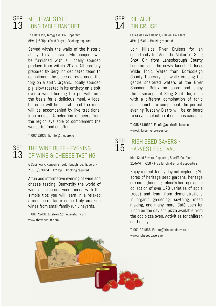SEP 13

#### SEP MEDIEVAL STYLE  $13$  LONG TABLE BANQUET

The Derg Inn, Terryglass, Co. Tipperary 8PM | €25pp (Food Only) | Booking required

Served within the walls of the historic abbey, this classic style banquet will be furnished with all locally sourced produce from within 20km. All carefully prepared by Derg Inn dedicated team to compliment the piece de resistance; the "pig on a spit". Organic, locally sourced pig, slow roasted in its entirety on a spit over a wood burning fire pit will form the basis for a delicious meal. A local historian will be on site and the meal will be accompanied by live traditional Irish music!. A selection of beers from the region available to complement the wonderful food on offer.

T: 067 22037 E: info@thederg.ie

#### THE WINE BUFF - EVENING OF WINE & CHEESE TASTING

5 Cecil Walk, Kenyon Street, Nenagh, Co. Tipperary 7.30-9/9.30PM | €20pp | Booking required

A fun and informative evening of wine and cheese tasting. Demystify the world of wine and impress your friends with the simple tips you will learn in a relaxed atmosphere. Taste some truly amazing wines from small family run vineyards.

T: 067 42491 E: alexis@thewinebuff.com www.thewinebuff.com

## SEP KILLALOE 14 GIN CRUISE

Lakeside Drive Ballina, Killaloe, Co. Clare 4PM | €40 | Booking required

Join Killaloe River Cruises for an opportunity to "Meet the Maker" of Sling Shot Gin from Lanesborough County Longford and the newly launched Oscar Wilde Tonic Water from Borrisoleigh County Tipperary, all while cruising the gentle sheltered waters of the River Shannon. Relax on board and enjoy three servings of Sling Shot Gin, each with a different combination of tonic and garnish. To compliment the perfect evening Tuscany Bistro will be on board to serve a selection of delicious canapes.

T: 086 8140559 E: info@spiritofkillaloe.ie www.killaloerivercruises.com

#### IRISH SEED SAVERS -  $15$  harvest festival SEP

Irish Seed Savers, Capparoe, Scariff, Co. Clare 11-5PM | €10 / Free for children and supporters

Enjoy a great family day out exploring 20 acres of heritage seed gardens, heritage orchards (housing Ireland's heritage apple collection of over 170 varieties of apple trees) and learn from demonstrations in organic gardening, scything, mead making, and many more. Café open for lunch on the day and pizza available from the cob pizza oven. Activities for children on the day.

T: 061 921866 E: info@irishseedsavers.ie www.irishseedsavers.ie

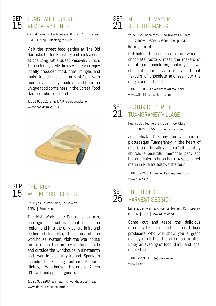## 15

### SEP LONG TABLE QUEST RECOVERY LUNCH

The Old Barracks, Gortybrigane, Birdhill, Co. Tipperary 1PM | €25pp | Booking required

Visit the street food garden at The Old Barracks Coffee Roastery and book a seat at the Long Table Quest Recovery Lunch. This is family style dining where you enjoy locally produced food, chat, mingle, and make friends. Lunch starts at 2pm with food for all dietary needs served from the unique food containers in the Street Food Garden #obrstreetfood

T: 061 623001 E: hello@theoldbarracks.ie www.theoldbarracks.ie



## SEP 15

#### THE IRISH WORKHOUSE CENTRE

St Brigids Rd, Portumna, Co. Galway 12PM | Free event

The Irish Workhouse Centre is an arts, heritage and cultural centre for the region, and it is the only centre in Ireland dedicated to telling the story of the workhouse system. Visit the Workhouse for talks on the history of food inside and outside the workhouse in nineteenth and twentieth century Ireland. Speakers include best-selling author Margaret Hickey, Workhouse historian Aileen O'Dowd, and special guests.

#### SEP MEET THE MAKER  $21$  a be the maker

Wilde Irish Chocolates, Tuamgraney, Co. Clare 11-12.30PM | €39pp / €30pp Group of 4+ Booking required

Get behind the scenes of a real working chocolate factory, meet the makers of all of our chocolates, make your own chocolate bars, taste many different flavours of chocolate and see how the magic comes together!

T: 061 922080 E: wicdirect@gmail.com www.wildeirishchocolates.com

HISTORIC TOUR OF TUAMGRANEY VILLAGE SEP 21

> Nuala's Bar, Tuamgraney, Scariff, Co. Clare 11-12.30PM | €25pp | Booking advised

Join Nuala Kilkenny for a tour of picturesque Tuamgraney in the heart of east Clare. The village has a 10th century church, a beautiful memorial park and historic links to Brian Boru. A special set menu in Nuala's follows the tour.

T: 061 921249 E: nualakilkenny@gmail.com www.nualas.ie

#### LOUGH DERG HARVEST SESSION

SEP 25

> Larkins, Garrykennedy, Portroe, Nenagh, Co. Tipperary 8.30PM | €15 | Booking advised

> Come out and taste the delicious offerings by local food and craft beer producers who will show you a grand display of all that the area has to offer. Enjoy an evening of food, drink, and local music too!

T: 067 23232 E: info@larkins.ie www.larkins.ie

T: 090 9759200 E: info@irishworkhousecentre.ie www.irishworkhousecentre.ie